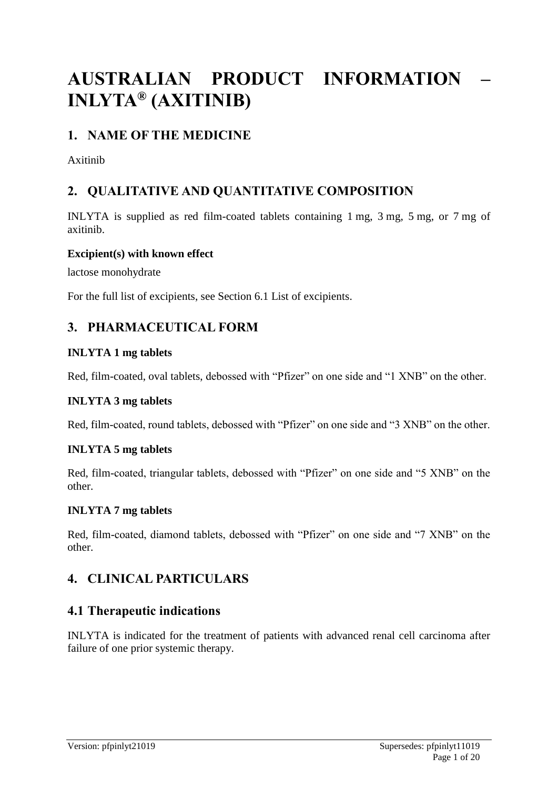# **AUSTRALIAN PRODUCT INFORMATION – INLYTA® (AXITINIB)**

# **1. NAME OF THE MEDICINE**

Axitinib

# **2. QUALITATIVE AND QUANTITATIVE COMPOSITION**

INLYTA is supplied as red film-coated tablets containing 1 mg, 3 mg, 5 mg, or 7 mg of axitinib.

### **Excipient(s) with known effect**

lactose monohydrate

For the full list of excipients, see Section 6.1 List of excipients.

# **3. PHARMACEUTICAL FORM**

### **INLYTA 1 mg tablets**

Red, film-coated, oval tablets, debossed with "Pfizer" on one side and "1 XNB" on the other.

#### **INLYTA 3 mg tablets**

Red, film-coated, round tablets, debossed with "Pfizer" on one side and "3 XNB" on the other.

### **INLYTA 5 mg tablets**

Red, film-coated, triangular tablets, debossed with "Pfizer" on one side and "5 XNB" on the other.

### **INLYTA 7 mg tablets**

Red, film-coated, diamond tablets, debossed with "Pfizer" on one side and "7 XNB" on the other.

# **4. CLINICAL PARTICULARS**

### **4.1 Therapeutic indications**

INLYTA is indicated for the treatment of patients with advanced renal cell carcinoma after failure of one prior systemic therapy.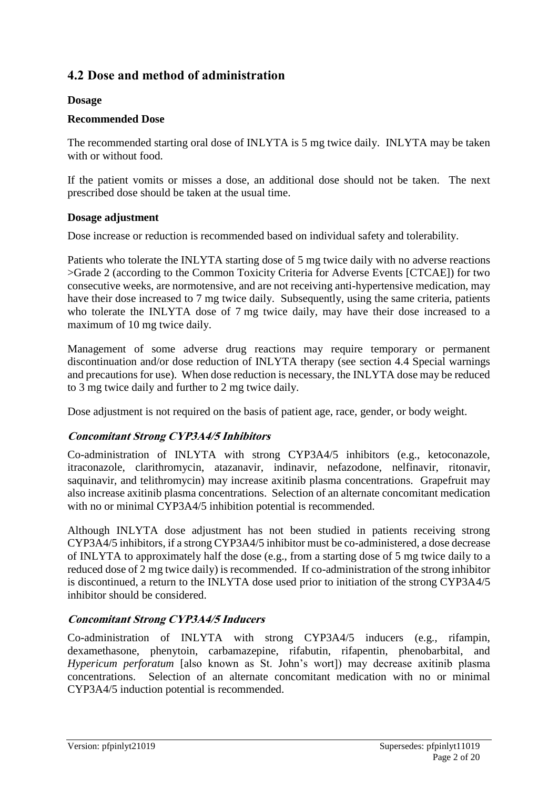# **4.2 Dose and method of administration**

### **Dosage**

### **Recommended Dose**

The recommended starting oral dose of INLYTA is 5 mg twice daily. INLYTA may be taken with or without food.

If the patient vomits or misses a dose, an additional dose should not be taken. The next prescribed dose should be taken at the usual time.

### **Dosage adjustment**

Dose increase or reduction is recommended based on individual safety and tolerability.

Patients who tolerate the INLYTA starting dose of 5 mg twice daily with no adverse reactions >Grade 2 (according to the Common Toxicity Criteria for Adverse Events [CTCAE]) for two consecutive weeks, are normotensive, and are not receiving anti-hypertensive medication, may have their dose increased to 7 mg twice daily. Subsequently, using the same criteria, patients who tolerate the INLYTA dose of 7 mg twice daily, may have their dose increased to a maximum of 10 mg twice daily.

Management of some adverse drug reactions may require temporary or permanent discontinuation and/or dose reduction of INLYTA therapy (see section 4.4 Special warnings and precautions for use). When dose reduction is necessary, the INLYTA dose may be reduced to 3 mg twice daily and further to 2 mg twice daily.

Dose adjustment is not required on the basis of patient age, race, gender, or body weight.

### **Concomitant Strong CYP3A4/5 Inhibitors**

Co-administration of INLYTA with strong CYP3A4/5 inhibitors (e.g., ketoconazole, itraconazole, clarithromycin, atazanavir, indinavir, nefazodone, nelfinavir, ritonavir, saquinavir, and telithromycin) may increase axitinib plasma concentrations. Grapefruit may also increase axitinib plasma concentrations. Selection of an alternate concomitant medication with no or minimal CYP3A4/5 inhibition potential is recommended.

Although INLYTA dose adjustment has not been studied in patients receiving strong CYP3A4/5 inhibitors, if a strong CYP3A4/5 inhibitor must be co-administered, a dose decrease of INLYTA to approximately half the dose (e.g., from a starting dose of 5 mg twice daily to a reduced dose of 2 mg twice daily) is recommended. If co-administration of the strong inhibitor is discontinued, a return to the INLYTA dose used prior to initiation of the strong CYP3A4/5 inhibitor should be considered.

### **Concomitant Strong CYP3A4/5 Inducers**

Co-administration of INLYTA with strong CYP3A4/5 inducers (e.g., rifampin, dexamethasone, phenytoin, carbamazepine, rifabutin, rifapentin, phenobarbital, and *Hypericum perforatum* [also known as St. John's wort]) may decrease axitinib plasma concentrations. Selection of an alternate concomitant medication with no or minimal CYP3A4/5 induction potential is recommended.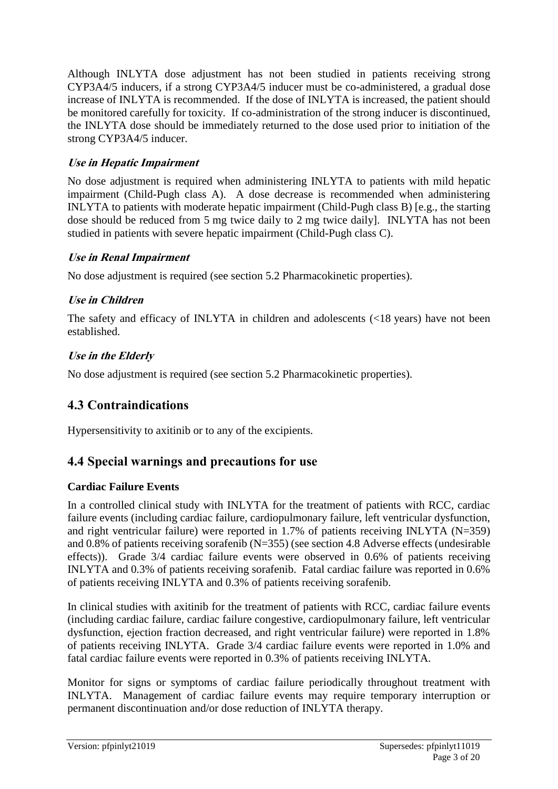Although INLYTA dose adjustment has not been studied in patients receiving strong CYP3A4/5 inducers, if a strong CYP3A4/5 inducer must be co-administered, a gradual dose increase of INLYTA is recommended. If the dose of INLYTA is increased, the patient should be monitored carefully for toxicity. If co-administration of the strong inducer is discontinued, the INLYTA dose should be immediately returned to the dose used prior to initiation of the strong CYP3A4/5 inducer.

### **Use in Hepatic Impairment**

No dose adjustment is required when administering INLYTA to patients with mild hepatic impairment (Child-Pugh class A). A dose decrease is recommended when administering INLYTA to patients with moderate hepatic impairment (Child-Pugh class B) [e.g., the starting dose should be reduced from 5 mg twice daily to 2 mg twice daily]. INLYTA has not been studied in patients with severe hepatic impairment (Child-Pugh class C).

### **Use in Renal Impairment**

No dose adjustment is required (see section 5.2 Pharmacokinetic properties).

### **Use in Children**

The safety and efficacy of INLYTA in children and adolescents (<18 years) have not been established.

### **Use in the Elderly**

No dose adjustment is required (see section 5.2 Pharmacokinetic properties).

# **4.3 Contraindications**

Hypersensitivity to axitinib or to any of the excipients.

# **4.4 Special warnings and precautions for use**

### **Cardiac Failure Events**

In a controlled clinical study with INLYTA for the treatment of patients with RCC, cardiac failure events (including cardiac failure, cardiopulmonary failure, left ventricular dysfunction, and right ventricular failure) were reported in 1.7% of patients receiving INLYTA (N=359) and 0.8% of patients receiving sorafenib (N=355) (see section 4.8 Adverse effects (undesirable effects)). Grade 3/4 cardiac failure events were observed in 0.6% of patients receiving INLYTA and 0.3% of patients receiving sorafenib. Fatal cardiac failure was reported in 0.6% of patients receiving INLYTA and 0.3% of patients receiving sorafenib.

In clinical studies with axitinib for the treatment of patients with RCC, cardiac failure events (including cardiac failure, cardiac failure congestive, cardiopulmonary failure, left ventricular dysfunction, ejection fraction decreased, and right ventricular failure) were reported in 1.8% of patients receiving INLYTA. Grade 3/4 cardiac failure events were reported in 1.0% and fatal cardiac failure events were reported in 0.3% of patients receiving INLYTA.

Monitor for signs or symptoms of cardiac failure periodically throughout treatment with INLYTA. Management of cardiac failure events may require temporary interruption or permanent discontinuation and/or dose reduction of INLYTA therapy.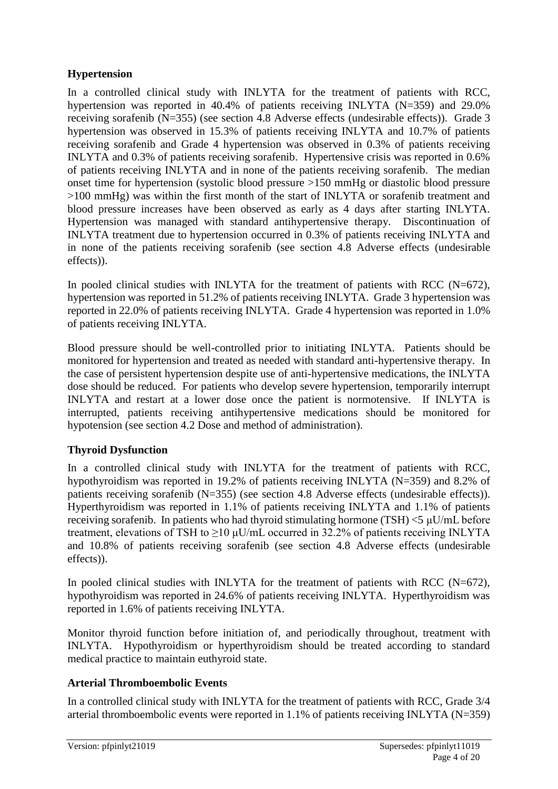### **Hypertension**

In a controlled clinical study with INLYTA for the treatment of patients with RCC, hypertension was reported in 40.4% of patients receiving INLYTA (N=359) and 29.0% receiving sorafenib (N=355) (see section 4.8 Adverse effects (undesirable effects)). Grade 3 hypertension was observed in 15.3% of patients receiving INLYTA and 10.7% of patients receiving sorafenib and Grade 4 hypertension was observed in 0.3% of patients receiving INLYTA and 0.3% of patients receiving sorafenib. Hypertensive crisis was reported in 0.6% of patients receiving INLYTA and in none of the patients receiving sorafenib. The median onset time for hypertension (systolic blood pressure >150 mmHg or diastolic blood pressure >100 mmHg) was within the first month of the start of INLYTA or sorafenib treatment and blood pressure increases have been observed as early as 4 days after starting INLYTA. Hypertension was managed with standard antihypertensive therapy. Discontinuation of INLYTA treatment due to hypertension occurred in 0.3% of patients receiving INLYTA and in none of the patients receiving sorafenib (see section 4.8 Adverse effects (undesirable effects)).

In pooled clinical studies with INLYTA for the treatment of patients with RCC (N=672), hypertension was reported in 51.2% of patients receiving INLYTA. Grade 3 hypertension was reported in 22.0% of patients receiving INLYTA. Grade 4 hypertension was reported in 1.0% of patients receiving INLYTA.

Blood pressure should be well-controlled prior to initiating INLYTA. Patients should be monitored for hypertension and treated as needed with standard anti-hypertensive therapy. In the case of persistent hypertension despite use of anti-hypertensive medications, the INLYTA dose should be reduced. For patients who develop severe hypertension, temporarily interrupt INLYTA and restart at a lower dose once the patient is normotensive. If INLYTA is interrupted, patients receiving antihypertensive medications should be monitored for hypotension (see section 4.2 Dose and method of administration).

### **Thyroid Dysfunction**

In a controlled clinical study with INLYTA for the treatment of patients with RCC, hypothyroidism was reported in 19.2% of patients receiving INLYTA (N=359) and 8.2% of patients receiving sorafenib (N=355) (see section 4.8 Adverse effects (undesirable effects)). Hyperthyroidism was reported in 1.1% of patients receiving INLYTA and 1.1% of patients receiving sorafenib. In patients who had thyroid stimulating hormone (TSH) <5 μU/mL before treatment, elevations of TSH to  $\geq$ 10  $\mu$ U/mL occurred in 32.2% of patients receiving INLYTA and 10.8% of patients receiving sorafenib (see section 4.8 Adverse effects (undesirable effects)).

In pooled clinical studies with INLYTA for the treatment of patients with RCC (N=672), hypothyroidism was reported in 24.6% of patients receiving INLYTA. Hyperthyroidism was reported in 1.6% of patients receiving INLYTA.

Monitor thyroid function before initiation of, and periodically throughout, treatment with INLYTA. Hypothyroidism or hyperthyroidism should be treated according to standard medical practice to maintain euthyroid state.

### **Arterial Thromboembolic Events**

In a controlled clinical study with INLYTA for the treatment of patients with RCC, Grade 3/4 arterial thromboembolic events were reported in 1.1% of patients receiving INLYTA (N=359)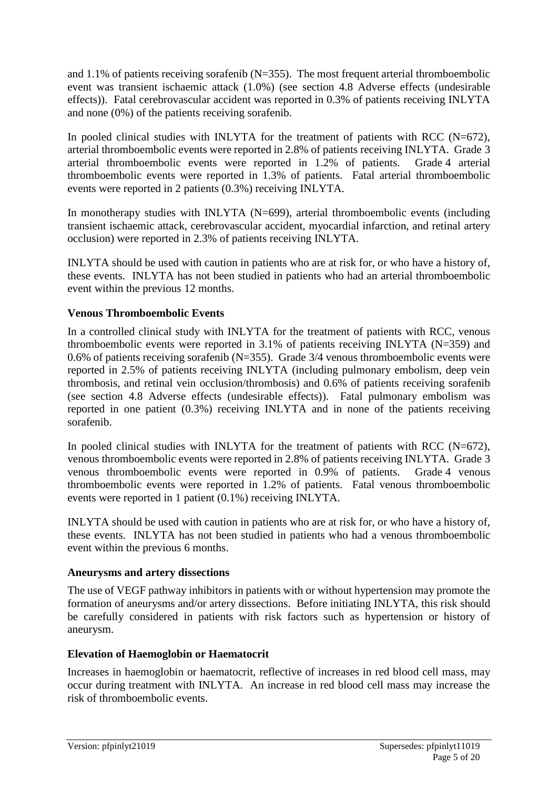and 1.1% of patients receiving sorafenib  $(N=355)$ . The most frequent arterial thromboembolic event was transient ischaemic attack (1.0%) (see section 4.8 Adverse effects (undesirable effects)). Fatal cerebrovascular accident was reported in 0.3% of patients receiving INLYTA and none (0%) of the patients receiving sorafenib.

In pooled clinical studies with INLYTA for the treatment of patients with RCC (N=672), arterial thromboembolic events were reported in 2.8% of patients receiving INLYTA. Grade 3 arterial thromboembolic events were reported in 1.2% of patients. Grade 4 arterial thromboembolic events were reported in 1.3% of patients. Fatal arterial thromboembolic events were reported in 2 patients (0.3%) receiving INLYTA.

In monotherapy studies with INLYTA (N=699), arterial thromboembolic events (including transient ischaemic attack, cerebrovascular accident, myocardial infarction, and retinal artery occlusion) were reported in 2.3% of patients receiving INLYTA.

INLYTA should be used with caution in patients who are at risk for, or who have a history of, these events. INLYTA has not been studied in patients who had an arterial thromboembolic event within the previous 12 months.

### **Venous Thromboembolic Events**

In a controlled clinical study with INLYTA for the treatment of patients with RCC, venous thromboembolic events were reported in  $3.1\%$  of patients receiving INLYTA (N=359) and 0.6% of patients receiving sorafenib ( $N=355$ ). Grade 3/4 venous thromboembolic events were reported in 2.5% of patients receiving INLYTA (including pulmonary embolism, deep vein thrombosis, and retinal vein occlusion/thrombosis) and 0.6% of patients receiving sorafenib (see section 4.8 Adverse effects (undesirable effects)). Fatal pulmonary embolism was reported in one patient (0.3%) receiving INLYTA and in none of the patients receiving sorafenib.

In pooled clinical studies with INLYTA for the treatment of patients with RCC  $(N=672)$ , venous thromboembolic events were reported in 2.8% of patients receiving INLYTA. Grade 3 venous thromboembolic events were reported in 0.9% of patients. Grade 4 venous thromboembolic events were reported in 1.2% of patients. Fatal venous thromboembolic events were reported in 1 patient (0.1%) receiving INLYTA.

INLYTA should be used with caution in patients who are at risk for, or who have a history of, these events. INLYTA has not been studied in patients who had a venous thromboembolic event within the previous 6 months.

#### **Aneurysms and artery dissections**

The use of VEGF pathway inhibitors in patients with or without hypertension may promote the formation of aneurysms and/or artery dissections. Before initiating INLYTA, this risk should be carefully considered in patients with risk factors such as hypertension or history of aneurysm.

### **Elevation of Haemoglobin or Haematocrit**

Increases in haemoglobin or haematocrit, reflective of increases in red blood cell mass, may occur during treatment with INLYTA. An increase in red blood cell mass may increase the risk of thromboembolic events.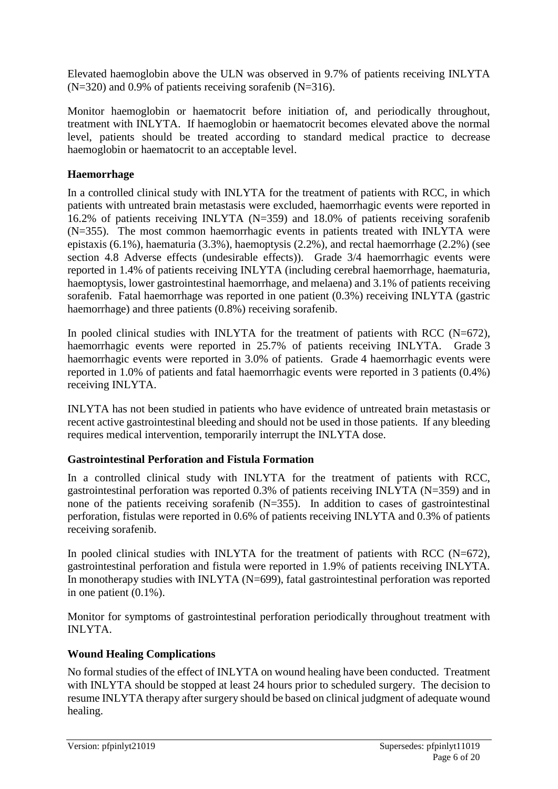Elevated haemoglobin above the ULN was observed in 9.7% of patients receiving INLYTA  $(N=320)$  and 0.9% of patients receiving sorafenib  $(N=316)$ .

Monitor haemoglobin or haematocrit before initiation of, and periodically throughout, treatment with INLYTA. If haemoglobin or haematocrit becomes elevated above the normal level, patients should be treated according to standard medical practice to decrease haemoglobin or haematocrit to an acceptable level.

### **Haemorrhage**

In a controlled clinical study with INLYTA for the treatment of patients with RCC, in which patients with untreated brain metastasis were excluded, haemorrhagic events were reported in 16.2% of patients receiving INLYTA (N=359) and 18.0% of patients receiving sorafenib (N=355). The most common haemorrhagic events in patients treated with INLYTA were epistaxis (6.1%), haematuria (3.3%), haemoptysis (2.2%), and rectal haemorrhage (2.2%) (see section 4.8 Adverse effects (undesirable effects)). Grade 3/4 haemorrhagic events were reported in 1.4% of patients receiving INLYTA (including cerebral haemorrhage, haematuria, haemoptysis, lower gastrointestinal haemorrhage, and melaena) and 3.1% of patients receiving sorafenib. Fatal haemorrhage was reported in one patient (0.3%) receiving INLYTA (gastric haemorrhage) and three patients (0.8%) receiving sorafenib.

In pooled clinical studies with INLYTA for the treatment of patients with RCC (N=672), haemorrhagic events were reported in 25.7% of patients receiving INLYTA. Grade 3 haemorrhagic events were reported in 3.0% of patients. Grade 4 haemorrhagic events were reported in 1.0% of patients and fatal haemorrhagic events were reported in 3 patients (0.4%) receiving INLYTA.

INLYTA has not been studied in patients who have evidence of untreated brain metastasis or recent active gastrointestinal bleeding and should not be used in those patients. If any bleeding requires medical intervention, temporarily interrupt the INLYTA dose.

### **Gastrointestinal Perforation and Fistula Formation**

In a controlled clinical study with INLYTA for the treatment of patients with RCC, gastrointestinal perforation was reported 0.3% of patients receiving INLYTA (N=359) and in none of the patients receiving sorafenib (N=355). In addition to cases of gastrointestinal perforation, fistulas were reported in 0.6% of patients receiving INLYTA and 0.3% of patients receiving sorafenib.

In pooled clinical studies with INLYTA for the treatment of patients with RCC (N=672), gastrointestinal perforation and fistula were reported in 1.9% of patients receiving INLYTA. In monotherapy studies with INLYTA (N=699), fatal gastrointestinal perforation was reported in one patient (0.1%).

Monitor for symptoms of gastrointestinal perforation periodically throughout treatment with INLYTA.

### **Wound Healing Complications**

No formal studies of the effect of INLYTA on wound healing have been conducted. Treatment with INLYTA should be stopped at least 24 hours prior to scheduled surgery. The decision to resume INLYTA therapy after surgery should be based on clinical judgment of adequate wound healing.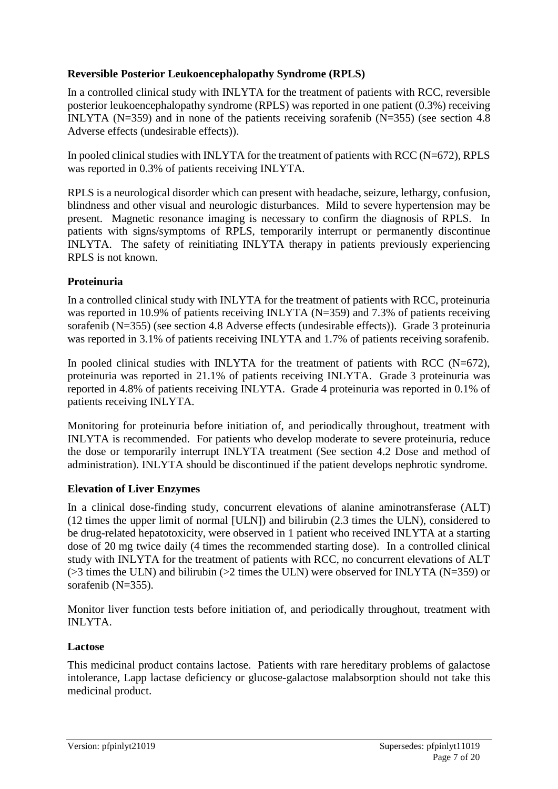### **Reversible Posterior Leukoencephalopathy Syndrome (RPLS)**

In a controlled clinical study with INLYTA for the treatment of patients with RCC, reversible posterior leukoencephalopathy syndrome (RPLS) was reported in one patient (0.3%) receiving INLYTA (N=359) and in none of the patients receiving sorafenib (N=355) (see section 4.8 Adverse effects (undesirable effects)).

In pooled clinical studies with INLYTA for the treatment of patients with RCC (N=672), RPLS was reported in 0.3% of patients receiving INLYTA.

RPLS is a neurological disorder which can present with headache, seizure, lethargy, confusion, blindness and other visual and neurologic disturbances. Mild to severe hypertension may be present. Magnetic resonance imaging is necessary to confirm the diagnosis of RPLS. In patients with signs/symptoms of RPLS, temporarily interrupt or permanently discontinue INLYTA. The safety of reinitiating INLYTA therapy in patients previously experiencing RPLS is not known.

### **Proteinuria**

In a controlled clinical study with INLYTA for the treatment of patients with RCC, proteinuria was reported in 10.9% of patients receiving INLYTA (N=359) and 7.3% of patients receiving sorafenib (N=355) (see section 4.8 Adverse effects (undesirable effects)). Grade 3 proteinuria was reported in 3.1% of patients receiving INLYTA and 1.7% of patients receiving sorafenib.

In pooled clinical studies with INLYTA for the treatment of patients with RCC (N=672), proteinuria was reported in 21.1% of patients receiving INLYTA. Grade 3 proteinuria was reported in 4.8% of patients receiving INLYTA. Grade 4 proteinuria was reported in 0.1% of patients receiving INLYTA.

Monitoring for proteinuria before initiation of, and periodically throughout, treatment with INLYTA is recommended. For patients who develop moderate to severe proteinuria, reduce the dose or temporarily interrupt INLYTA treatment (See section 4.2 Dose and method of administration). INLYTA should be discontinued if the patient develops nephrotic syndrome.

### **Elevation of Liver Enzymes**

In a clinical dose-finding study, concurrent elevations of alanine aminotransferase (ALT) (12 times the upper limit of normal [ULN]) and bilirubin (2.3 times the ULN), considered to be drug-related hepatotoxicity, were observed in 1 patient who received INLYTA at a starting dose of 20 mg twice daily (4 times the recommended starting dose). In a controlled clinical study with INLYTA for the treatment of patients with RCC, no concurrent elevations of ALT (>3 times the ULN) and bilirubin (>2 times the ULN) were observed for INLYTA (N=359) or sorafenib (N=355).

Monitor liver function tests before initiation of, and periodically throughout, treatment with INLYTA.

### **Lactose**

This medicinal product contains lactose. Patients with rare hereditary problems of galactose intolerance, Lapp lactase deficiency or glucose-galactose malabsorption should not take this medicinal product.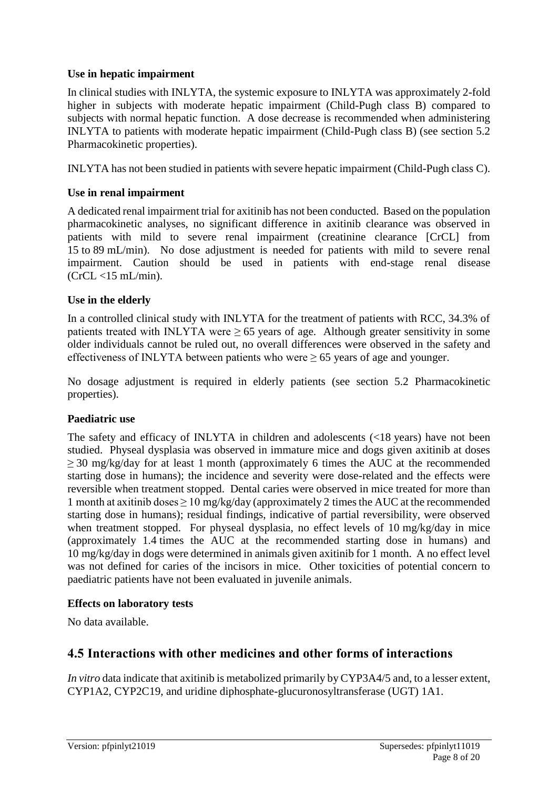#### **Use in hepatic impairment**

In clinical studies with INLYTA, the systemic exposure to INLYTA was approximately 2-fold higher in subjects with moderate hepatic impairment (Child-Pugh class B) compared to subjects with normal hepatic function. A dose decrease is recommended when administering INLYTA to patients with moderate hepatic impairment (Child-Pugh class B) (see section 5.2 Pharmacokinetic properties).

INLYTA has not been studied in patients with severe hepatic impairment (Child-Pugh class C).

### **Use in renal impairment**

A dedicated renal impairment trial for axitinib has not been conducted. Based on the population pharmacokinetic analyses, no significant difference in axitinib clearance was observed in patients with mild to severe renal impairment (creatinine clearance [CrCL] from 15 to 89 mL/min). No dose adjustment is needed for patients with mild to severe renal impairment. Caution should be used in patients with end-stage renal disease  $(CrCL < 15$  mL/min).

### **Use in the elderly**

In a controlled clinical study with INLYTA for the treatment of patients with RCC, 34.3% of patients treated with INLYTA were  $\geq 65$  years of age. Although greater sensitivity in some older individuals cannot be ruled out, no overall differences were observed in the safety and effectiveness of INLYTA between patients who were  $\geq$  65 years of age and younger.

No dosage adjustment is required in elderly patients (see section 5.2 Pharmacokinetic properties).

#### **Paediatric use**

The safety and efficacy of INLYTA in children and adolescents (<18 years) have not been studied. Physeal dysplasia was observed in immature mice and dogs given axitinib at doses  $\geq$  30 mg/kg/day for at least 1 month (approximately 6 times the AUC at the recommended starting dose in humans); the incidence and severity were dose-related and the effects were reversible when treatment stopped. Dental caries were observed in mice treated for more than 1 month at axitinib doses  $\geq 10$  mg/kg/day (approximately 2 times the AUC at the recommended starting dose in humans); residual findings, indicative of partial reversibility, were observed when treatment stopped. For physeal dysplasia, no effect levels of 10 mg/kg/day in mice (approximately 1.4 times the AUC at the recommended starting dose in humans) and 10 mg/kg/day in dogs were determined in animals given axitinib for 1 month. A no effect level was not defined for caries of the incisors in mice. Other toxicities of potential concern to paediatric patients have not been evaluated in juvenile animals.

#### **Effects on laboratory tests**

No data available.

# **4.5 Interactions with other medicines and other forms of interactions**

*In vitro* data indicate that axitinib is metabolized primarily by CYP3A4/5 and, to a lesser extent, CYP1A2, CYP2C19, and uridine diphosphate-glucuronosyltransferase (UGT) 1A1.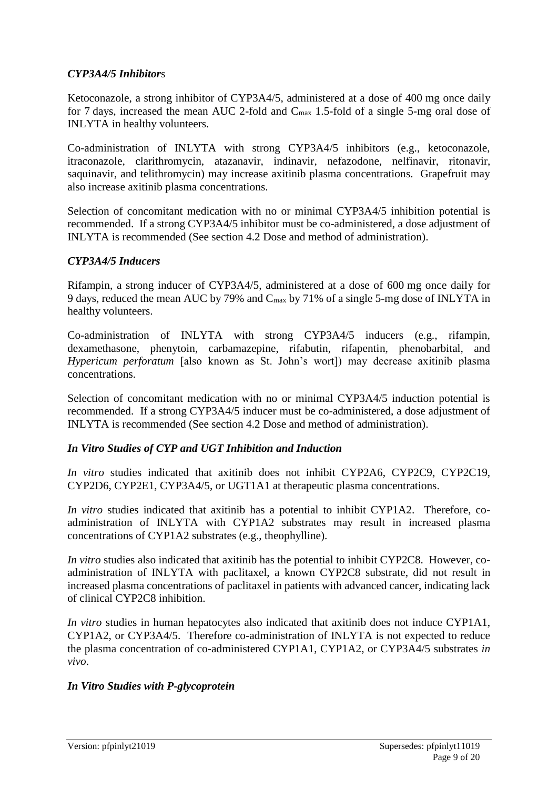#### *CYP3A4/5 Inhibitor*s

Ketoconazole, a strong inhibitor of CYP3A4/5, administered at a dose of 400 mg once daily for 7 days, increased the mean AUC 2-fold and Cmax 1.5-fold of a single 5-mg oral dose of INLYTA in healthy volunteers.

Co-administration of INLYTA with strong CYP3A4/5 inhibitors (e.g., ketoconazole, itraconazole, clarithromycin, atazanavir, indinavir, nefazodone, nelfinavir, ritonavir, saquinavir, and telithromycin) may increase axitinib plasma concentrations. Grapefruit may also increase axitinib plasma concentrations.

Selection of concomitant medication with no or minimal CYP3A4/5 inhibition potential is recommended. If a strong CYP3A4/5 inhibitor must be co-administered, a dose adjustment of INLYTA is recommended (See section 4.2 Dose and method of administration).

#### *CYP3A4/5 Inducers*

Rifampin, a strong inducer of CYP3A4/5, administered at a dose of 600 mg once daily for 9 days, reduced the mean AUC by 79% and Cmax by 71% of a single 5-mg dose of INLYTA in healthy volunteers.

Co-administration of INLYTA with strong CYP3A4/5 inducers (e.g., rifampin, dexamethasone, phenytoin, carbamazepine, rifabutin, rifapentin, phenobarbital, and *Hypericum perforatum* [also known as St. John's wort]) may decrease axitinib plasma concentrations.

Selection of concomitant medication with no or minimal CYP3A4/5 induction potential is recommended. If a strong CYP3A4/5 inducer must be co-administered, a dose adjustment of INLYTA is recommended (See section 4.2 Dose and method of administration).

#### *In Vitro Studies of CYP and UGT Inhibition and Induction*

*In vitro* studies indicated that axitinib does not inhibit CYP2A6, CYP2C9, CYP2C19, CYP2D6, CYP2E1, CYP3A4/5, or UGT1A1 at therapeutic plasma concentrations.

*In vitro* studies indicated that axitinib has a potential to inhibit CYP1A2. Therefore, coadministration of INLYTA with CYP1A2 substrates may result in increased plasma concentrations of CYP1A2 substrates (e.g., theophylline).

*In vitro* studies also indicated that axitinib has the potential to inhibit CYP2C8. However, coadministration of INLYTA with paclitaxel, a known CYP2C8 substrate, did not result in increased plasma concentrations of paclitaxel in patients with advanced cancer, indicating lack of clinical CYP2C8 inhibition.

*In vitro* studies in human hepatocytes also indicated that axitinib does not induce CYP1A1, CYP1A2, or CYP3A4/5. Therefore co-administration of INLYTA is not expected to reduce the plasma concentration of co-administered CYP1A1, CYP1A2, or CYP3A4/5 substrates *in vivo*.

#### *In Vitro Studies with P-glycoprotein*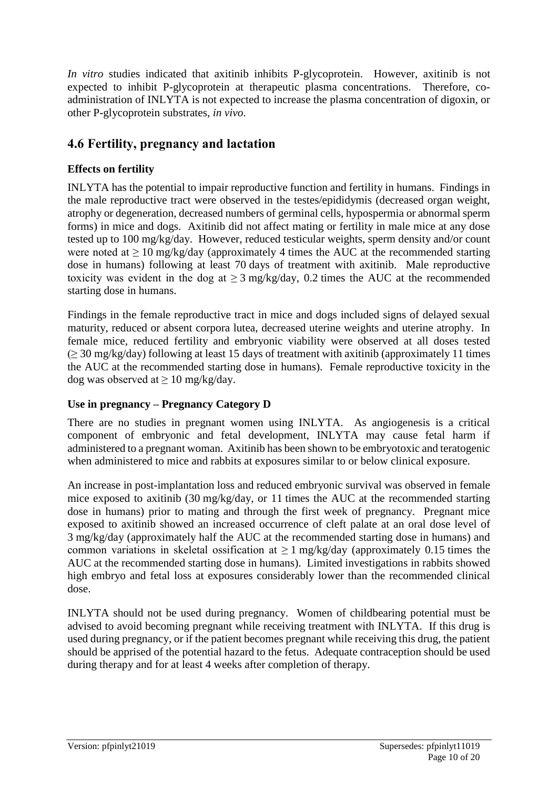*In vitro* studies indicated that axitinib inhibits P-glycoprotein. However, axitinib is not expected to inhibit P-glycoprotein at therapeutic plasma concentrations. Therefore, coadministration of INLYTA is not expected to increase the plasma concentration of digoxin, or other P-glycoprotein substrates, *in vivo*.

# **4.6 Fertility, pregnancy and lactation**

### **Effects on fertility**

INLYTA has the potential to impair reproductive function and fertility in humans. Findings in the male reproductive tract were observed in the testes/epididymis (decreased organ weight, atrophy or degeneration, decreased numbers of germinal cells, hypospermia or abnormal sperm forms) in mice and dogs. Axitinib did not affect mating or fertility in male mice at any dose tested up to 100 mg/kg/day. However, reduced testicular weights, sperm density and/or count were noted at  $\geq 10$  mg/kg/day (approximately 4 times the AUC at the recommended starting dose in humans) following at least 70 days of treatment with axitinib. Male reproductive toxicity was evident in the dog at  $\geq 3$  mg/kg/day, 0.2 times the AUC at the recommended starting dose in humans.

Findings in the female reproductive tract in mice and dogs included signs of delayed sexual maturity, reduced or absent corpora lutea, decreased uterine weights and uterine atrophy. In female mice, reduced fertility and embryonic viability were observed at all doses tested  $( \geq 30 \text{ mg/kg/day})$  following at least 15 days of treatment with axitinib (approximately 11 times the AUC at the recommended starting dose in humans). Female reproductive toxicity in the dog was observed at  $\geq 10$  mg/kg/day.

### **Use in pregnancy – Pregnancy Category D**

There are no studies in pregnant women using INLYTA. As angiogenesis is a critical component of embryonic and fetal development, INLYTA may cause fetal harm if administered to a pregnant woman. Axitinib has been shown to be embryotoxic and teratogenic when administered to mice and rabbits at exposures similar to or below clinical exposure.

An increase in post-implantation loss and reduced embryonic survival was observed in female mice exposed to axitinib (30 mg/kg/day, or 11 times the AUC at the recommended starting dose in humans) prior to mating and through the first week of pregnancy. Pregnant mice exposed to axitinib showed an increased occurrence of cleft palate at an oral dose level of 3 mg/kg/day (approximately half the AUC at the recommended starting dose in humans) and common variations in skeletal ossification at  $\geq 1$  mg/kg/day (approximately 0.15 times the AUC at the recommended starting dose in humans). Limited investigations in rabbits showed high embryo and fetal loss at exposures considerably lower than the recommended clinical dose.

INLYTA should not be used during pregnancy. Women of childbearing potential must be advised to avoid becoming pregnant while receiving treatment with INLYTA. If this drug is used during pregnancy, or if the patient becomes pregnant while receiving this drug, the patient should be apprised of the potential hazard to the fetus. Adequate contraception should be used during therapy and for at least 4 weeks after completion of therapy.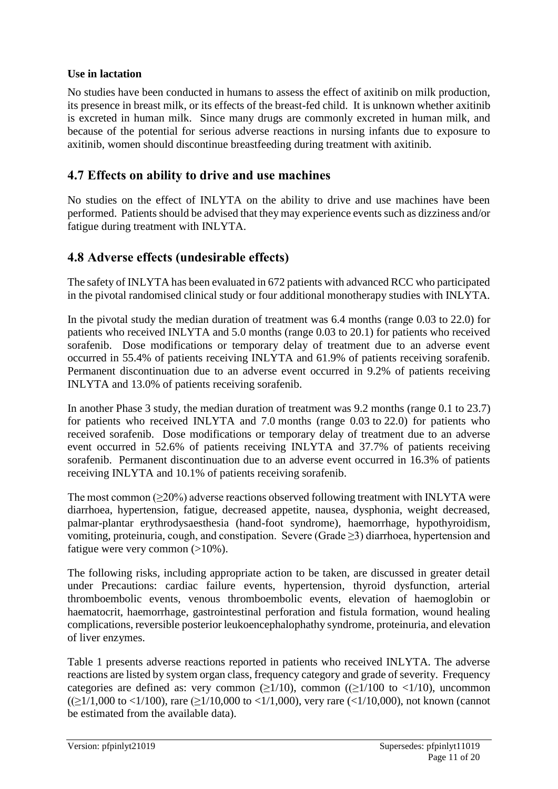### **Use in lactation**

No studies have been conducted in humans to assess the effect of axitinib on milk production, its presence in breast milk, or its effects of the breast-fed child. It is unknown whether axitinib is excreted in human milk. Since many drugs are commonly excreted in human milk, and because of the potential for serious adverse reactions in nursing infants due to exposure to axitinib, women should discontinue breastfeeding during treatment with axitinib.

### **4.7 Effects on ability to drive and use machines**

No studies on the effect of INLYTA on the ability to drive and use machines have been performed. Patients should be advised that they may experience events such as dizziness and/or fatigue during treatment with INLYTA.

### **4.8 Adverse effects (undesirable effects)**

The safety of INLYTA has been evaluated in 672 patients with advanced RCC who participated in the pivotal randomised clinical study or four additional monotherapy studies with INLYTA.

In the pivotal study the median duration of treatment was 6.4 months (range 0.03 to 22.0) for patients who received INLYTA and 5.0 months (range 0.03 to 20.1) for patients who received sorafenib. Dose modifications or temporary delay of treatment due to an adverse event occurred in 55.4% of patients receiving INLYTA and 61.9% of patients receiving sorafenib. Permanent discontinuation due to an adverse event occurred in 9.2% of patients receiving INLYTA and 13.0% of patients receiving sorafenib.

In another Phase 3 study, the median duration of treatment was 9.2 months (range 0.1 to 23.7) for patients who received INLYTA and 7.0 months (range 0.03 to 22.0) for patients who received sorafenib. Dose modifications or temporary delay of treatment due to an adverse event occurred in 52.6% of patients receiving INLYTA and 37.7% of patients receiving sorafenib. Permanent discontinuation due to an adverse event occurred in 16.3% of patients receiving INLYTA and 10.1% of patients receiving sorafenib.

The most common  $(\geq 20\%)$  adverse reactions observed following treatment with INLYTA were diarrhoea, hypertension, fatigue, decreased appetite, nausea, dysphonia, weight decreased, palmar-plantar erythrodysaesthesia (hand-foot syndrome), haemorrhage, hypothyroidism, vomiting, proteinuria, cough, and constipation. Severe (Grade ≥3) diarrhoea, hypertension and fatigue were very common  $(>10\%)$ .

The following risks, including appropriate action to be taken, are discussed in greater detail under Precautions: cardiac failure events, hypertension, thyroid dysfunction, arterial thromboembolic events, venous thromboembolic events, elevation of haemoglobin or haematocrit, haemorrhage, gastrointestinal perforation and fistula formation, wound healing complications, reversible posterior leukoencephalophathy syndrome, proteinuria, and elevation of liver enzymes.

Table 1 presents adverse reactions reported in patients who received INLYTA. The adverse reactions are listed by system organ class, frequency category and grade of severity. Frequency categories are defined as: very common  $(\geq 1/10)$ , common  $((\geq 1/100 \text{ to } \leq 1/10)$ , uncommon  $((\geq 1/1,000 \text{ to } <1/100)$ , rare ( $\geq 1/10,000 \text{ to } <1/1,000$ ), very rare ( $\lt 1/10,000$ ), not known (cannot be estimated from the available data).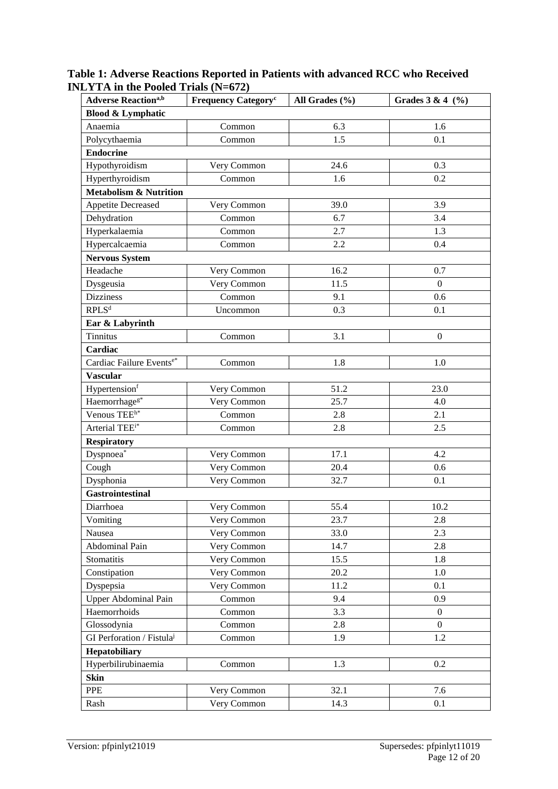| <b>Adverse Reaction</b> a,b           | <b>Frequency Category<sup>c</sup></b> | All Grades $(\% )$ | Grades $3 & 4 (%)$ |  |
|---------------------------------------|---------------------------------------|--------------------|--------------------|--|
| <b>Blood &amp; Lymphatic</b>          |                                       |                    |                    |  |
| Anaemia                               | Common                                | 6.3                | 1.6                |  |
| Polycythaemia                         | Common                                | 1.5                | 0.1                |  |
| <b>Endocrine</b>                      |                                       |                    |                    |  |
| Hypothyroidism                        | Very Common                           | 24.6               | 0.3                |  |
| Hyperthyroidism                       | Common                                | 1.6                | 0.2                |  |
| <b>Metabolism &amp; Nutrition</b>     |                                       |                    |                    |  |
| <b>Appetite Decreased</b>             | Very Common                           | 39.0               | 3.9                |  |
| Dehydration                           | Common                                | 6.7                | 3.4                |  |
| Hyperkalaemia                         | Common                                | 2.7                | 1.3                |  |
| Hypercalcaemia                        | Common                                | 2.2                | 0.4                |  |
| <b>Nervous System</b>                 |                                       |                    |                    |  |
| Headache                              | Very Common                           | 16.2               | 0.7                |  |
| Dysgeusia                             | Very Common                           | 11.5               | $\overline{0}$     |  |
| <b>Dizziness</b>                      | Common                                | 9.1                | 0.6                |  |
| $\mathsf{RPLS}^{\rm d}$               | Uncommon                              | 0.3                | 0.1                |  |
| Ear & Labyrinth                       |                                       |                    |                    |  |
| <b>Tinnitus</b>                       | Common                                | 3.1                | $\mathbf{0}$       |  |
| Cardiac                               |                                       |                    |                    |  |
| Cardiac Failure Eventse*              | Common                                | 1.8                | 1.0                |  |
| <b>Vascular</b>                       |                                       |                    |                    |  |
| Hypertensionf                         | Very Common                           | 51.2               | 23.0               |  |
| Haemorrhage <sup>g*</sup>             | Very Common                           | 25.7               | 4.0                |  |
| Venous TEE <sup>h*</sup>              | Common                                | 2.8                | 2.1                |  |
| Arterial TEE <sup>i*</sup>            | Common                                | 2.8                | 2.5                |  |
| <b>Respiratory</b>                    |                                       |                    |                    |  |
| $Dyspnoea*$                           | Very Common                           | 17.1               | 4.2                |  |
| Cough                                 | Very Common                           | 20.4               | 0.6                |  |
| Dysphonia                             | Very Common                           | 32.7               | 0.1                |  |
| <b>Gastrointestinal</b>               |                                       |                    |                    |  |
| Diarrhoea                             | Very Common                           | 55.4               | 10.2               |  |
| Vomiting                              | Very Common                           | 23.7               | 2.8                |  |
| Nausea                                | Very Common                           | 33.0               | 2.3                |  |
| Abdominal Pain                        | Very Common                           | 14.7               | 2.8                |  |
| Stomatitis                            | Very Common                           | 15.5               | 1.8                |  |
| Constipation                          | Very Common                           | 20.2               | 1.0                |  |
| Dyspepsia                             | Very Common                           | 11.2               | 0.1                |  |
| <b>Upper Abdominal Pain</b>           | Common                                | 9.4                | 0.9                |  |
| Haemorrhoids                          | Common                                | 3.3                | $\overline{0}$     |  |
| Glossodynia                           | Common                                | 2.8                | $\boldsymbol{0}$   |  |
| GI Perforation / Fistula <sup>j</sup> | Common                                | 1.9                | 1.2                |  |
| Hepatobiliary                         |                                       |                    |                    |  |
| Hyperbilirubinaemia                   | Common                                | 1.3                | 0.2                |  |
| <b>Skin</b>                           |                                       |                    |                    |  |
| PPE                                   | Very Common                           | 32.1               | 7.6                |  |
| Rash                                  | Very Common                           | 14.3               | 0.1                |  |

**Table 1: Adverse Reactions Reported in Patients with advanced RCC who Received INLYTA in the Pooled Trials (N=672)**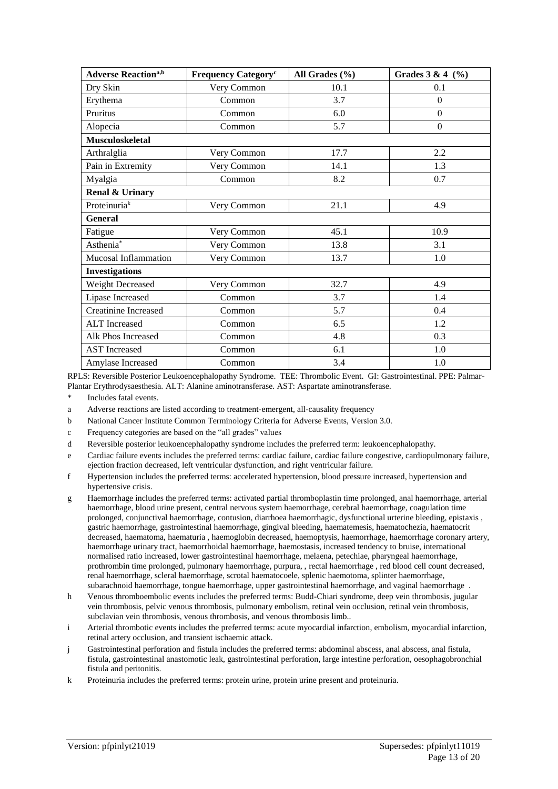| <b>Adverse Reaction</b> a,b | <b>Frequency Category<sup>c</sup></b> | All Grades (%) | Grades $3 & 4 (%)$ |  |
|-----------------------------|---------------------------------------|----------------|--------------------|--|
| Dry Skin                    | Very Common                           | 10.1           | 0.1                |  |
| Erythema                    | Common                                | 3.7            | $\Omega$           |  |
| Pruritus                    | Common                                | 6.0            | $\overline{0}$     |  |
| Alopecia                    | Common                                | 5.7            | $\boldsymbol{0}$   |  |
| <b>Musculoskeletal</b>      |                                       |                |                    |  |
| Arthralglia                 | Very Common                           | 17.7           | 2.2                |  |
| Pain in Extremity           | Very Common                           | 14.1           | 1.3                |  |
| Myalgia                     | Common                                | 8.2            | 0.7                |  |
| Renal & Urinary             |                                       |                |                    |  |
| Proteinuriak                | Very Common                           | 21.1           | 4.9                |  |
| General                     |                                       |                |                    |  |
| Fatigue                     | Very Common                           | 45.1           | 10.9               |  |
| Asthenia <sup>*</sup>       | Very Common                           | 13.8           | 3.1                |  |
| Mucosal Inflammation        | Very Common                           | 13.7           | 1.0                |  |
| <b>Investigations</b>       |                                       |                |                    |  |
| Weight Decreased            | Very Common                           | 32.7           | 4.9                |  |
| Lipase Increased            | Common                                | 3.7            | 1.4                |  |
| <b>Creatinine Increased</b> | Common                                | 5.7            | 0.4                |  |
| <b>ALT</b> Increased        | Common                                | 6.5            | 1.2                |  |
| Alk Phos Increased          | Common                                | 4.8            | 0.3                |  |
| <b>AST</b> Increased        | Common                                | 6.1            | 1.0                |  |
| Amylase Increased           | Common                                | 3.4            | 1.0                |  |

RPLS: Reversible Posterior Leukoencephalopathy Syndrome. TEE: Thrombolic Event. GI: Gastrointestinal. PPE: Palmar-Plantar Erythrodysaesthesia. ALT: Alanine aminotransferase. AST: Aspartate aminotransferase.

\* Includes fatal events.

- a Adverse reactions are listed according to treatment-emergent, all-causality frequency
- b National Cancer Institute Common Terminology Criteria for Adverse Events, Version 3.0.
- c Frequency categories are based on the "all grades" values
- d Reversible posterior leukoencephalopathy syndrome includes the preferred term: leukoencephalopathy.
- e Cardiac failure events includes the preferred terms: cardiac failure, cardiac failure congestive, cardiopulmonary failure, ejection fraction decreased, left ventricular dysfunction, and right ventricular failure.
- f Hypertension includes the preferred terms: accelerated hypertension, blood pressure increased, hypertension and hypertensive crisis.
- g Haemorrhage includes the preferred terms: activated partial thromboplastin time prolonged, anal haemorrhage, arterial haemorrhage, blood urine present, central nervous system haemorrhage, cerebral haemorrhage, coagulation time prolonged, conjunctival haemorrhage, contusion, diarrhoea haemorrhagic, dysfunctional urterine bleeding, epistaxis , gastric haemorrhage, gastrointestinal haemorrhage, gingival bleeding, haematemesis, haematochezia, haematocrit decreased, haematoma, haematuria , haemoglobin decreased, haemoptysis, haemorrhage, haemorrhage coronary artery, haemorrhage urinary tract, haemorrhoidal haemorrhage, haemostasis, increased tendency to bruise, international normalised ratio increased, lower gastrointestinal haemorrhage, melaena, petechiae, pharyngeal haemorrhage, prothrombin time prolonged, pulmonary haemorrhage, purpura, , rectal haemorrhage , red blood cell count decreased, renal haemorrhage, scleral haemorrhage, scrotal haematocoele, splenic haemotoma, splinter haemorrhage, subarachnoid haemorrhage, tongue haemorrhage, upper gastrointestinal haemorrhage, and vaginal haemorrhage .
- h Venous thromboembolic events includes the preferred terms: Budd-Chiari syndrome, deep vein thrombosis, jugular vein thrombosis, pelvic venous thrombosis, pulmonary embolism, retinal vein occlusion, retinal vein thrombosis, subclavian vein thrombosis, venous thrombosis, and venous thrombosis limb..
- i Arterial thrombotic events includes the preferred terms: acute myocardial infarction, embolism, myocardial infarction, retinal artery occlusion, and transient ischaemic attack.
- j Gastrointestinal perforation and fistula includes the preferred terms: abdominal abscess, anal abscess, anal fistula, fistula, gastrointestinal anastomotic leak, gastrointestinal perforation, large intestine perforation, oesophagobronchial fistula and peritonitis.
- k Proteinuria includes the preferred terms: protein urine, protein urine present and proteinuria.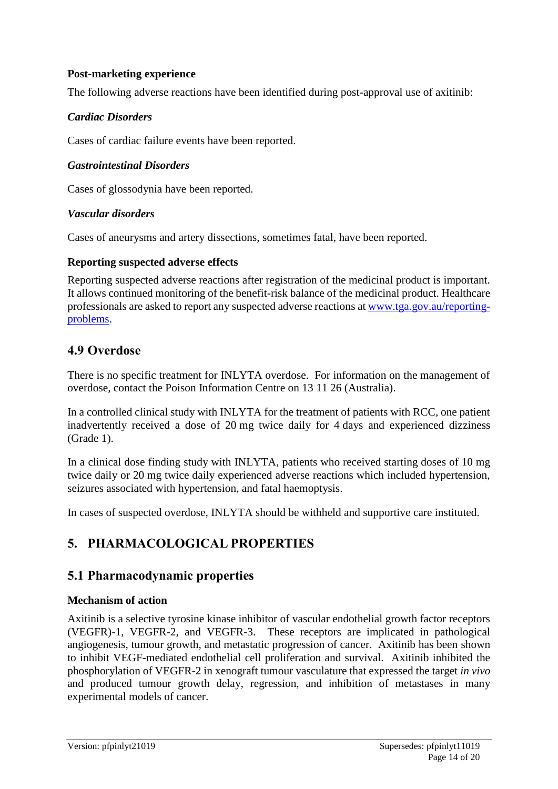### **Post-marketing experience**

The following adverse reactions have been identified during post-approval use of axitinib:

### *Cardiac Disorders*

Cases of cardiac failure events have been reported.

#### *Gastrointestinal Disorders*

Cases of glossodynia have been reported.

#### *Vascular disorders*

Cases of aneurysms and artery dissections, sometimes fatal, have been reported.

#### **Reporting suspected adverse effects**

Reporting suspected adverse reactions after registration of the medicinal product is important. It allows continued monitoring of the benefit-risk balance of the medicinal product. Healthcare professionals are asked to report any suspected adverse reactions at [www.tga.gov.au/reporting](http://www.tga.gov.au/reporting-problems)[problems.](http://www.tga.gov.au/reporting-problems)

### **4.9 Overdose**

There is no specific treatment for INLYTA overdose. For information on the management of overdose, contact the Poison Information Centre on 13 11 26 (Australia).

In a controlled clinical study with INLYTA for the treatment of patients with RCC, one patient inadvertently received a dose of 20 mg twice daily for 4 days and experienced dizziness (Grade 1).

In a clinical dose finding study with INLYTA, patients who received starting doses of 10 mg twice daily or 20 mg twice daily experienced adverse reactions which included hypertension, seizures associated with hypertension, and fatal haemoptysis.

In cases of suspected overdose, INLYTA should be withheld and supportive care instituted.

# **5. PHARMACOLOGICAL PROPERTIES**

### **5.1 Pharmacodynamic properties**

#### **Mechanism of action**

Axitinib is a selective tyrosine kinase inhibitor of vascular endothelial growth factor receptors (VEGFR)-1, VEGFR-2, and VEGFR-3. These receptors are implicated in pathological angiogenesis, tumour growth, and metastatic progression of cancer. Axitinib has been shown to inhibit VEGF-mediated endothelial cell proliferation and survival. Axitinib inhibited the phosphorylation of VEGFR-2 in xenograft tumour vasculature that expressed the target *in vivo* and produced tumour growth delay, regression, and inhibition of metastases in many experimental models of cancer.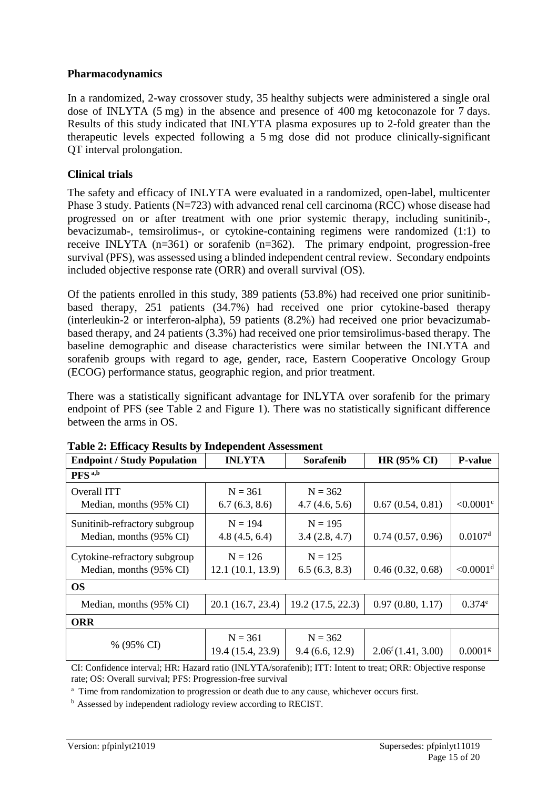#### **Pharmacodynamics**

In a randomized, 2-way crossover study, 35 healthy subjects were administered a single oral dose of INLYTA (5 mg) in the absence and presence of 400 mg ketoconazole for 7 days. Results of this study indicated that INLYTA plasma exposures up to 2-fold greater than the therapeutic levels expected following a 5 mg dose did not produce clinically-significant QT interval prolongation.

#### **Clinical trials**

The safety and efficacy of INLYTA were evaluated in a randomized, open-label, multicenter Phase 3 study. Patients (N=723) with advanced renal cell carcinoma (RCC) whose disease had progressed on or after treatment with one prior systemic therapy, including sunitinib-, bevacizumab-, temsirolimus-, or cytokine-containing regimens were randomized (1:1) to receive INLYTA (n=361) or sorafenib (n=362). The primary endpoint, progression-free survival (PFS), was assessed using a blinded independent central review. Secondary endpoints included objective response rate (ORR) and overall survival (OS).

Of the patients enrolled in this study, 389 patients (53.8%) had received one prior sunitinibbased therapy, 251 patients (34.7%) had received one prior cytokine-based therapy (interleukin-2 or interferon-alpha), 59 patients (8.2%) had received one prior bevacizumabbased therapy, and 24 patients (3.3%) had received one prior temsirolimus-based therapy. The baseline demographic and disease characteristics were similar between the INLYTA and sorafenib groups with regard to age, gender, race, Eastern Cooperative Oncology Group (ECOG) performance status, geographic region, and prior treatment.

There was a statistically significant advantage for INLYTA over sorafenib for the primary endpoint of PFS (see Table 2 and Figure 1). There was no statistically significant difference between the arms in OS.

| <b>Endpoint / Study Population</b>                       | <b>INLYTA</b>                  | Sorafenib                   | <b>HR (95% CI)</b>         | <b>P-value</b>          |
|----------------------------------------------------------|--------------------------------|-----------------------------|----------------------------|-------------------------|
| PFS <sup>a,b</sup>                                       |                                |                             |                            |                         |
| Overall ITT<br>Median, months (95% CI)                   | $N = 361$<br>6.7(6.3, 8.6)     | $N = 362$<br>4.7(4.6, 5.6)  | 0.67(0.54, 0.81)           | $< 0.0001$ <sup>c</sup> |
| Sunitinib-refractory subgroup<br>Median, months (95% CI) | $N = 194$<br>4.8(4.5, 6.4)     | $N = 195$<br>3.4(2.8, 4.7)  | 0.74(0.57, 0.96)           | 0.0107 <sup>d</sup>     |
| Cytokine-refractory subgroup<br>Median, months (95% CI)  | $N = 126$<br>12.1(10.1, 13.9)  | $N = 125$<br>6.5(6.3, 8.3)  | 0.46(0.32, 0.68)           | $< 0.0001$ <sup>d</sup> |
| <b>OS</b>                                                |                                |                             |                            |                         |
| Median, months (95% CI)                                  | 20.1 (16.7, 23.4)              | 19.2 (17.5, 22.3)           | 0.97(0.80, 1.17)           | $0.374^e$               |
| <b>ORR</b>                                               |                                |                             |                            |                         |
| % (95% CI)                                               | $N = 361$<br>19.4 (15.4, 23.9) | $N = 362$<br>9.4(6.6, 12.9) | $2.06^{\rm f}(1.41, 3.00)$ | $0.0001$ <sup>g</sup>   |

**Table 2: Efficacy Results by Independent Assessment**

CI: Confidence interval; HR: Hazard ratio (INLYTA/sorafenib); ITT: Intent to treat; ORR: Objective response rate; OS: Overall survival; PFS: Progression-free survival

<sup>a</sup> Time from randomization to progression or death due to any cause, whichever occurs first.

<sup>b</sup> Assessed by independent radiology review according to RECIST.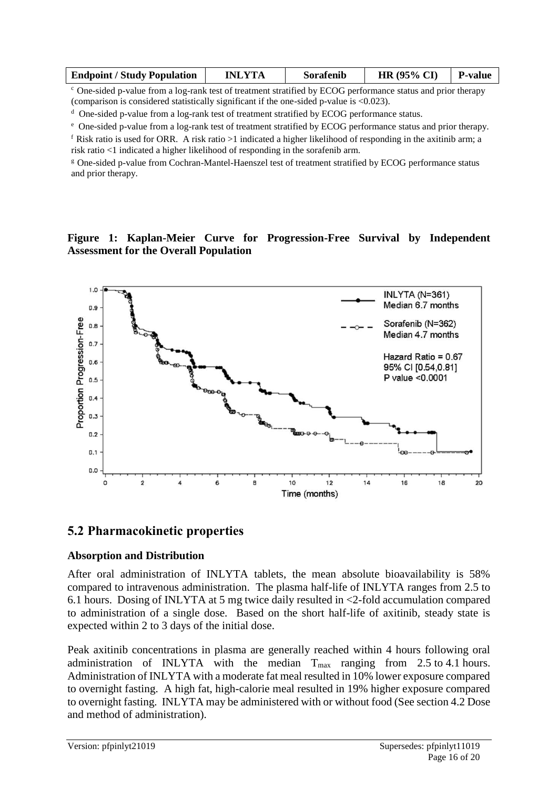| <b>Endpoint / Study Population</b> | <b>INLYTA</b> | Sorafenib | <b>HR</b> (95% CI) | <b>P</b> -value |
|------------------------------------|---------------|-----------|--------------------|-----------------|
|                                    |               |           |                    |                 |

 $c$  One-sided p-value from a log-rank test of treatment stratified by ECOG performance status and prior therapy (comparison is considered statistically significant if the one-sided p-value is <0.023).

<sup>d</sup> One-sided p-value from a log-rank test of treatment stratified by ECOG performance status.

<sup>e</sup> One-sided p-value from a log-rank test of treatment stratified by ECOG performance status and prior therapy.

f Risk ratio is used for ORR. A risk ratio  $>1$  indicated a higher likelihood of responding in the axitinib arm; a risk ratio <1 indicated a higher likelihood of responding in the sorafenib arm.

<sup>g</sup> One-sided p-value from Cochran-Mantel-Haenszel test of treatment stratified by ECOG performance status and prior therapy.

#### **Figure 1: Kaplan-Meier Curve for Progression-Free Survival by Independent Assessment for the Overall Population**



### **5.2 Pharmacokinetic properties**

#### **Absorption and Distribution**

After oral administration of INLYTA tablets, the mean absolute bioavailability is 58% compared to intravenous administration. The plasma half-life of INLYTA ranges from 2.5 to 6.1 hours. Dosing of INLYTA at 5 mg twice daily resulted in <2-fold accumulation compared to administration of a single dose. Based on the short half-life of axitinib, steady state is expected within 2 to 3 days of the initial dose.

Peak axitinib concentrations in plasma are generally reached within 4 hours following oral administration of INLYTA with the median  $T_{\text{max}}$  ranging from 2.5 to 4.1 hours. Administration of INLYTA with a moderate fat meal resulted in 10% lower exposure compared to overnight fasting. A high fat, high-calorie meal resulted in 19% higher exposure compared to overnight fasting. INLYTA may be administered with or without food (See section 4.2 Dose and method of administration).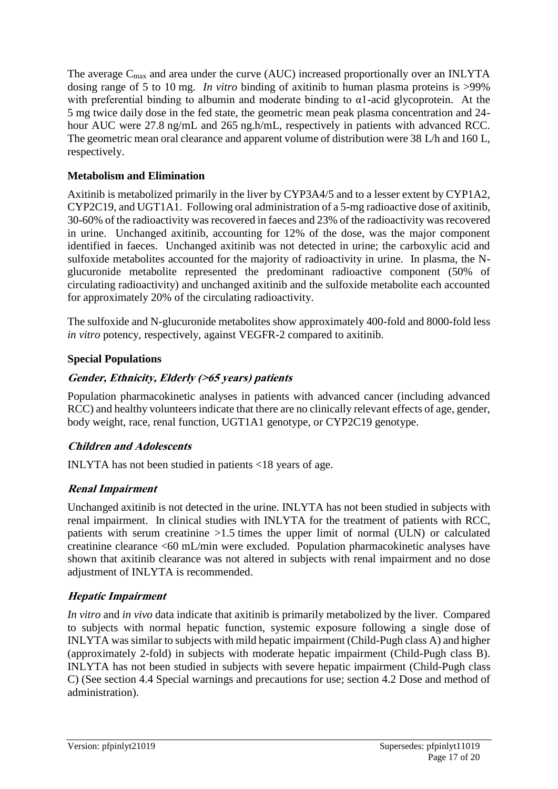The average  $C_{\text{max}}$  and area under the curve (AUC) increased proportionally over an INLYTA dosing range of 5 to 10 mg. *In vitro* binding of axitinib to human plasma proteins is >99% with preferential binding to albumin and moderate binding to α1-acid glycoprotein. At the 5 mg twice daily dose in the fed state, the geometric mean peak plasma concentration and 24 hour AUC were 27.8 ng/mL and 265 ng.h/mL, respectively in patients with advanced RCC. The geometric mean oral clearance and apparent volume of distribution were 38 L/h and 160 L, respectively.

### **Metabolism and Elimination**

Axitinib is metabolized primarily in the liver by CYP3A4/5 and to a lesser extent by CYP1A2, CYP2C19, and UGT1A1. Following oral administration of a 5-mg radioactive dose of axitinib, 30-60% of the radioactivity was recovered in faeces and 23% of the radioactivity was recovered in urine. Unchanged axitinib, accounting for 12% of the dose, was the major component identified in faeces. Unchanged axitinib was not detected in urine; the carboxylic acid and sulfoxide metabolites accounted for the majority of radioactivity in urine. In plasma, the Nglucuronide metabolite represented the predominant radioactive component (50% of circulating radioactivity) and unchanged axitinib and the sulfoxide metabolite each accounted for approximately 20% of the circulating radioactivity.

The sulfoxide and N-glucuronide metabolites show approximately 400-fold and 8000-fold less *in vitro* potency, respectively, against VEGFR-2 compared to axitinib.

### **Special Populations**

### **Gender, Ethnicity, Elderly (>65 years) patients**

Population pharmacokinetic analyses in patients with advanced cancer (including advanced RCC) and healthy volunteers indicate that there are no clinically relevant effects of age, gender, body weight, race, renal function, UGT1A1 genotype, or CYP2C19 genotype.

### **Children and Adolescents**

INLYTA has not been studied in patients <18 years of age.

### **Renal Impairment**

Unchanged axitinib is not detected in the urine. INLYTA has not been studied in subjects with renal impairment. In clinical studies with INLYTA for the treatment of patients with RCC, patients with serum creatinine >1.5 times the upper limit of normal (ULN) or calculated creatinine clearance <60 mL/min were excluded. Population pharmacokinetic analyses have shown that axitinib clearance was not altered in subjects with renal impairment and no dose adjustment of INLYTA is recommended.

### **Hepatic Impairment**

*In vitro* and *in vivo* data indicate that axitinib is primarily metabolized by the liver. Compared to subjects with normal hepatic function, systemic exposure following a single dose of INLYTA was similar to subjects with mild hepatic impairment (Child-Pugh class A) and higher (approximately 2-fold) in subjects with moderate hepatic impairment (Child-Pugh class B). INLYTA has not been studied in subjects with severe hepatic impairment (Child-Pugh class C) (See section 4.4 Special warnings and precautions for use; section 4.2 Dose and method of administration).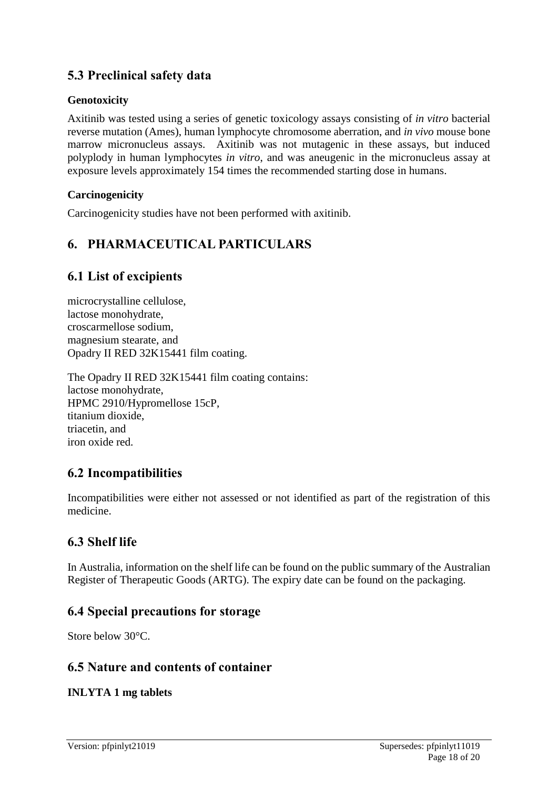# **5.3 Preclinical safety data**

### **Genotoxicity**

Axitinib was tested using a series of genetic toxicology assays consisting of *in vitro* bacterial reverse mutation (Ames), human lymphocyte chromosome aberration, and *in vivo* mouse bone marrow micronucleus assays. Axitinib was not mutagenic in these assays, but induced polyplody in human lymphocytes *in vitro*, and was aneugenic in the micronucleus assay at exposure levels approximately 154 times the recommended starting dose in humans.

### **Carcinogenicity**

Carcinogenicity studies have not been performed with axitinib.

# **6. PHARMACEUTICAL PARTICULARS**

### **6.1 List of excipients**

microcrystalline cellulose, lactose monohydrate, croscarmellose sodium, magnesium stearate, and Opadry II RED 32K15441 film coating.

The Opadry II RED 32K15441 film coating contains: lactose monohydrate, HPMC 2910/Hypromellose 15cP, titanium dioxide, triacetin, and iron oxide red.

### **6.2 Incompatibilities**

Incompatibilities were either not assessed or not identified as part of the registration of this medicine.

# **6.3 Shelf life**

In Australia, information on the shelf life can be found on the public summary of the Australian Register of Therapeutic Goods (ARTG). The expiry date can be found on the packaging.

### **6.4 Special precautions for storage**

Store below 30°C.

### **6.5 Nature and contents of container**

### **INLYTA 1 mg tablets**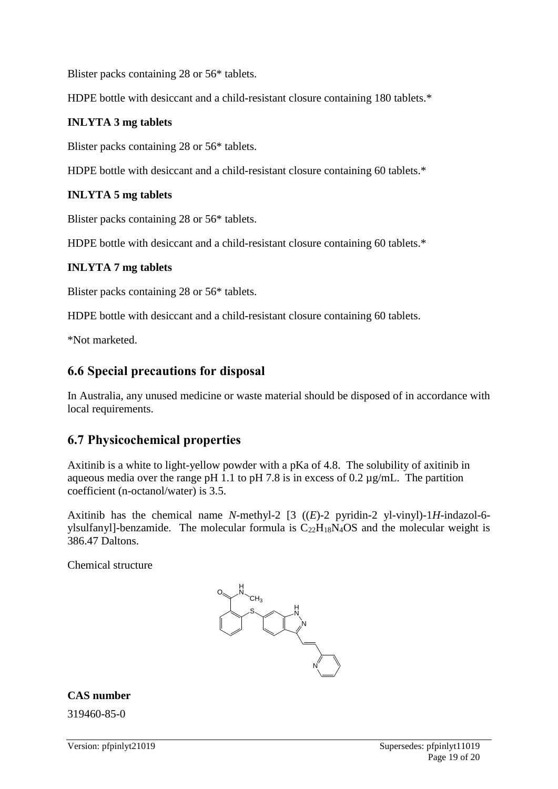Blister packs containing 28 or 56\* tablets.

HDPE bottle with desiccant and a child-resistant closure containing 180 tablets.\*

#### **INLYTA 3 mg tablets**

Blister packs containing 28 or 56\* tablets.

HDPE bottle with desiccant and a child-resistant closure containing 60 tablets.\*

#### **INLYTA 5 mg tablets**

Blister packs containing 28 or 56\* tablets.

HDPE bottle with desiccant and a child-resistant closure containing 60 tablets.\*

#### **INLYTA 7 mg tablets**

Blister packs containing 28 or 56\* tablets.

HDPE bottle with desiccant and a child-resistant closure containing 60 tablets.

\*Not marketed.

### **6.6 Special precautions for disposal**

In Australia, any unused medicine or waste material should be disposed of in accordance with local requirements.

### **6.7 Physicochemical properties**

Axitinib is a white to light-yellow powder with a pKa of 4.8. The solubility of axitinib in aqueous media over the range pH 1.1 to pH 7.8 is in excess of 0.2  $\mu$ g/mL. The partition coefficient (n-octanol/water) is 3.5.

Axitinib has the chemical name *N*-methyl-2 [3 ((*E*)-2 pyridin-2 yl-vinyl)-1*H*-indazol-6 ylsulfanyl]-benzamide. The molecular formula is  $C_{22}H_{18}N_4OS$  and the molecular weight is 386.47 Daltons.

Chemical structure



#### **CAS number**

319460-85-0